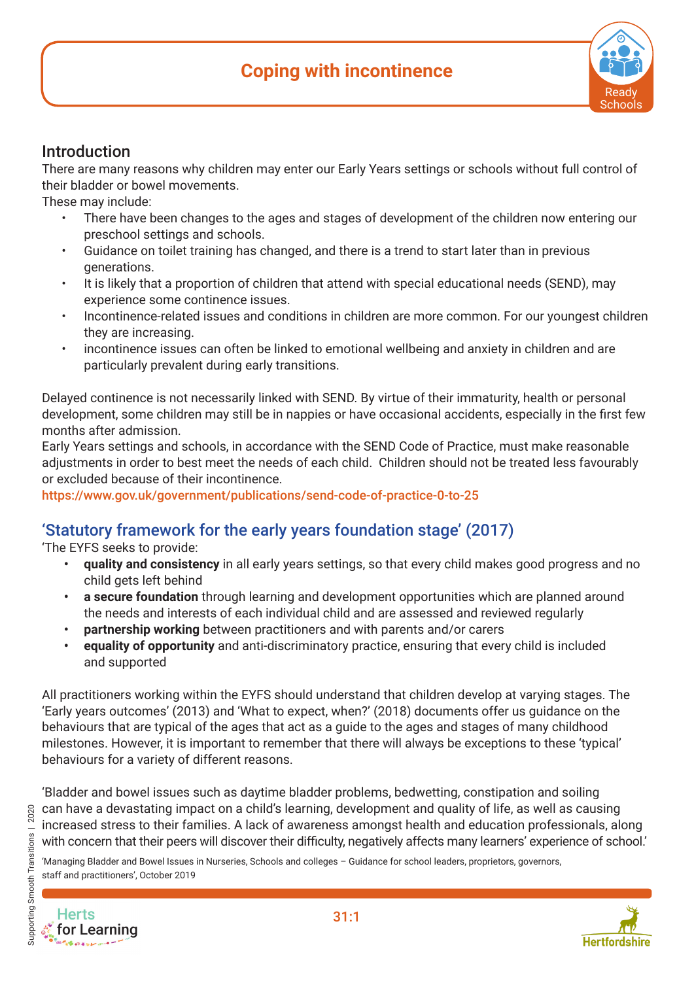# **Coping with incontinence**



#### Introduction

There are many reasons why children may enter our Early Years settings or schools without full control of their bladder or bowel movements.

These may include:

- There have been changes to the ages and stages of development of the children now entering our preschool settings and schools.
- Guidance on toilet training has changed, and there is a trend to start later than in previous generations.
- It is likely that a proportion of children that attend with special educational needs (SEND), may experience some continence issues.
- Incontinence-related issues and conditions in children are more common. For our youngest children they are increasing.
- incontinence issues can often be linked to emotional wellbeing and anxiety in children and are particularly prevalent during early transitions.

Delayed continence is not necessarily linked with SEND. By virtue of their immaturity, health or personal development, some children may still be in nappies or have occasional accidents, especially in the first few months after admission.

Early Years settings and schools, in accordance with the SEND Code of Practice, must make reasonable adiustments in order to best meet the needs of each child. Children should not be treated less favourably or excluded because of their incontinence.

https://www.gov.uk/government/publications/send-code-of-practice-0-to-25

### 'Statutory framework for the early years foundation stage' (2017)

'The EYFS seeks to provide:

- **• quality and consistency** in all early years settings, so that every child makes good progress and no child gets left behind
- **• a secure foundation** through learning and development opportunities which are planned around the needs and interests of each individual child and are assessed and reviewed regularly
- **• partnership working** between practitioners and with parents and/or carers
- **• equality of opportunity** and anti-discriminatory practice, ensuring that every child is included and supported

All practitioners working within the EYFS should understand that children develop at varying stages. The 'Early years outcomes' (2013) and 'What to expect, when?' (2018) documents offer us guidance on the behaviours that are typical of the ages that act as a guide to the ages and stages of many childhood milestones. However, it is important to remember that there will always be exceptions to these 'typical' behaviours for a variety of different reasons.

'Bladder and bowel issues such as daytime bladder problems, bedwetting, constipation and soiling can have a devastating impact on a child's learning, development and quality of life, as well as causing increased stress to their families. A lack of awareness amongst health and education professionals, along with concern that their peers will discover their difficulty, negatively affects many learners' experience of school.'

'Managing Bladder and Bowel Issues in Nurseries, Schools and colleges – Guidance for school leaders, proprietors, governors, staff and practitioners', October 2019



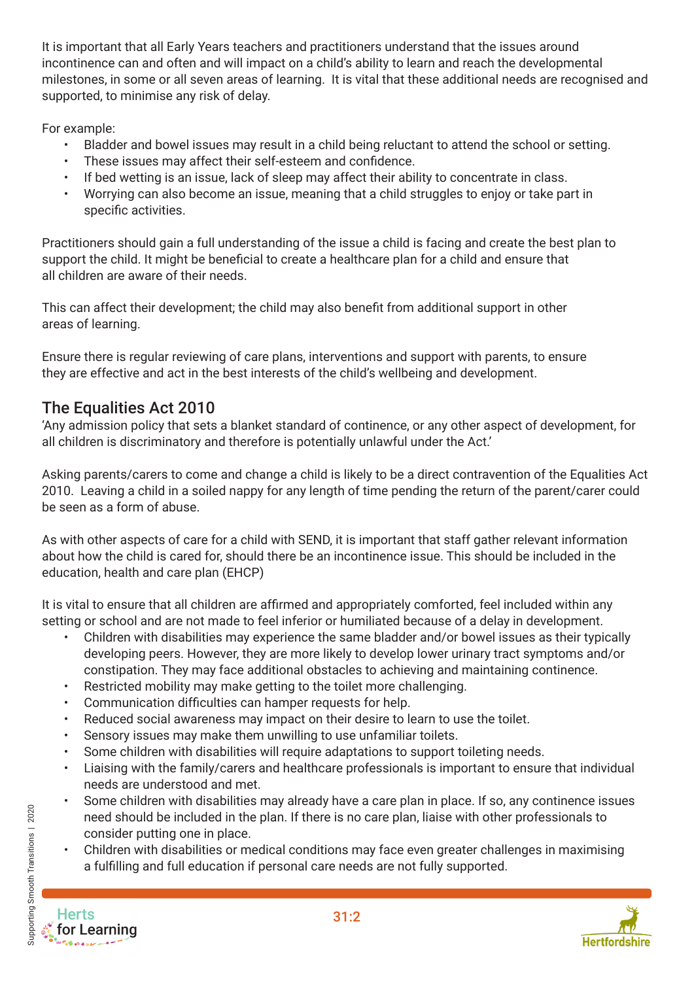It is important that all Early Years teachers and practitioners understand that the issues around incontinence can and often and will impact on a child's ability to learn and reach the developmental milestones, in some or all seven areas of learning. It is vital that these additional needs are recognised and supported, to minimise any risk of delay.

For example:

- Bladder and bowel issues may result in a child being reluctant to attend the school or setting.
- These issues may affect their self-esteem and confidence.
- If bed wetting is an issue, lack of sleep may affect their ability to concentrate in class.
- Worrying can also become an issue, meaning that a child struggles to enjoy or take part in specific activities.

Practitioners should gain a full understanding of the issue a child is facing and create the best plan to support the child. It might be beneficial to create a healthcare plan for a child and ensure that all children are aware of their needs.

This can affect their development; the child may also benefit from additional support in other areas of learning.

Ensure there is regular reviewing of care plans, interventions and support with parents, to ensure they are effective and act in the best interests of the child's wellbeing and development.

## The Equalities Act 2010

'Any admission policy that sets a blanket standard of continence, or any other aspect of development, for all children is discriminatory and therefore is potentially unlawful under the Act.'

Asking parents/carers to come and change a child is likely to be a direct contravention of the Equalities Act 2010. Leaving a child in a soiled nappy for any length of time pending the return of the parent/carer could be seen as a form of abuse.

As with other aspects of care for a child with SEND, it is important that staff gather relevant information about how the child is cared for, should there be an incontinence issue. This should be included in the education, health and care plan (EHCP)

It is vital to ensure that all children are affirmed and appropriately comforted, feel included within any setting or school and are not made to feel inferior or humiliated because of a delay in development.

- Children with disabilities may experience the same bladder and/or bowel issues as their typically developing peers. However, they are more likely to develop lower urinary tract symptoms and/or constipation. They may face additional obstacles to achieving and maintaining continence.
- Restricted mobility may make getting to the toilet more challenging.
- Communication difficulties can hamper requests for help.
- Reduced social awareness may impact on their desire to learn to use the toilet.
- Sensory issues may make them unwilling to use unfamiliar toilets.
- Some children with disabilities will require adaptations to support toileting needs.
- Liaising with the family/carers and healthcare professionals is important to ensure that individual needs are understood and met.
- Some children with disabilities may already have a care plan in place. If so, any continence issues need should be included in the plan. If there is no care plan, liaise with other professionals to consider putting one in place.
- Children with disabilities or medical conditions may face even greater challenges in maximising a fulfilling and full education if personal care needs are not fully supported.